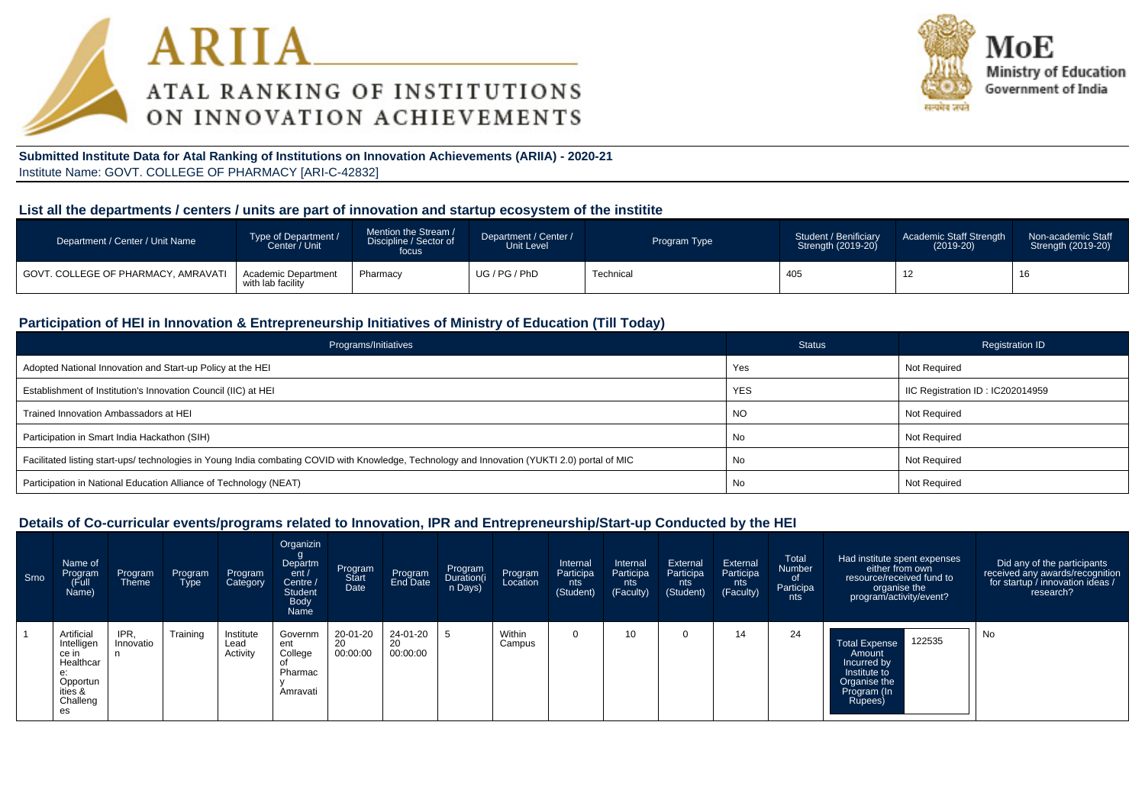



**Submitted Institute Data for Atal Ranking of Institutions on Innovation Achievements (ARIIA) - 2020-21**Institute Name: GOVT. COLLEGE OF PHARMACY [ARI-C-42832]

# **List all the departments / centers / units are part of innovation and startup ecosystem of the institite**

| Department / Center / Unit Name       | Type of Department /<br>Center / Unit    | Mention the Stream /<br>Discipline / Sector of<br>focus | Department / Center /<br>Unit Level | Program Type | Student / Benificiary<br>Strength (2019-20) | Academic Staff Strength<br>$(2019-20)$ | Non-academic Staff<br>Strength (2019-20) |
|---------------------------------------|------------------------------------------|---------------------------------------------------------|-------------------------------------|--------------|---------------------------------------------|----------------------------------------|------------------------------------------|
| I GOVT. COLLEGE OF PHARMACY. AMRAVATI | Academic Department<br>with lab facility | Pharmacy                                                | UG / PG / PhD                       | Technical    | 405                                         | $\overline{a}$                         | - 1. 4                                   |

# **Participation of HEI in Innovation & Entrepreneurship Initiatives of Ministry of Education (Till Today)**

| Programs/Initiatives                                                                                                                           | <b>Status</b> | <b>Registration ID</b>           |
|------------------------------------------------------------------------------------------------------------------------------------------------|---------------|----------------------------------|
| Adopted National Innovation and Start-up Policy at the HEI                                                                                     | Yes           | Not Required                     |
| Establishment of Institution's Innovation Council (IIC) at HEI                                                                                 | <b>YES</b>    | IIC Registration ID: IC202014959 |
| Trained Innovation Ambassadors at HEI                                                                                                          | <b>NO</b>     | Not Required                     |
| Participation in Smart India Hackathon (SIH)                                                                                                   | No            | Not Required                     |
| Facilitated listing start-ups/ technologies in Young India combating COVID with Knowledge, Technology and Innovation (YUKTI 2.0) portal of MIC | No            | Not Required                     |
| Participation in National Education Alliance of Technology (NEAT)                                                                              | No            | Not Required                     |

#### **Details of Co-curricular events/programs related to Innovation, IPR and Entrepreneurship/Start-up Conducted by the HEI**

| Srno | Name of<br>Program<br>(Full<br>Name)                                                          | Program<br><b>Theme</b> | Program<br>Type | Program<br>Category           | Organizin<br>Departm<br>ent/<br>Centre /<br><b>Student</b><br>Body<br>Name | Program<br>Start<br>Date   | Program<br>End Date        | Program<br>Duration(i<br>n Days) | Program<br>Location | Internal<br>Participa<br>nts<br>(Student) | Internal<br>Participa<br>nts<br>(Faculty) | External<br>Participa<br>nts<br>(Student) | External<br>Participa<br>nts<br>(Faculty) | Total<br>Number<br>0f<br>Participa<br>nts | Had institute spent expenses<br>either from own<br>resource/received fund to<br>organise the<br>program/activity/event? | Did any of the participants<br>received any awards/recognition<br>for startup / innovation ideas /<br>research? |
|------|-----------------------------------------------------------------------------------------------|-------------------------|-----------------|-------------------------------|----------------------------------------------------------------------------|----------------------------|----------------------------|----------------------------------|---------------------|-------------------------------------------|-------------------------------------------|-------------------------------------------|-------------------------------------------|-------------------------------------------|-------------------------------------------------------------------------------------------------------------------------|-----------------------------------------------------------------------------------------------------------------|
|      | Artificial<br>Intelligen<br>ce in<br>Healthcar<br>e:<br>Opportun<br>ities &<br>Challeng<br>es | IPR,<br>Innovatio<br>n  | Training        | Institute<br>Lead<br>Activity | Governm<br>ent<br>College<br>Pharmac<br>Amravati                           | 20-01-20<br>20<br>00:00:00 | 24-01-20<br>20<br>00:00:00 |                                  | Within<br>Campus    |                                           | 10                                        |                                           | 14                                        | 24                                        | 122535<br>Total Expense<br>Amount<br>Incurred by<br>Institute to<br>Organise the<br>Program (In<br>Rupees)              | No                                                                                                              |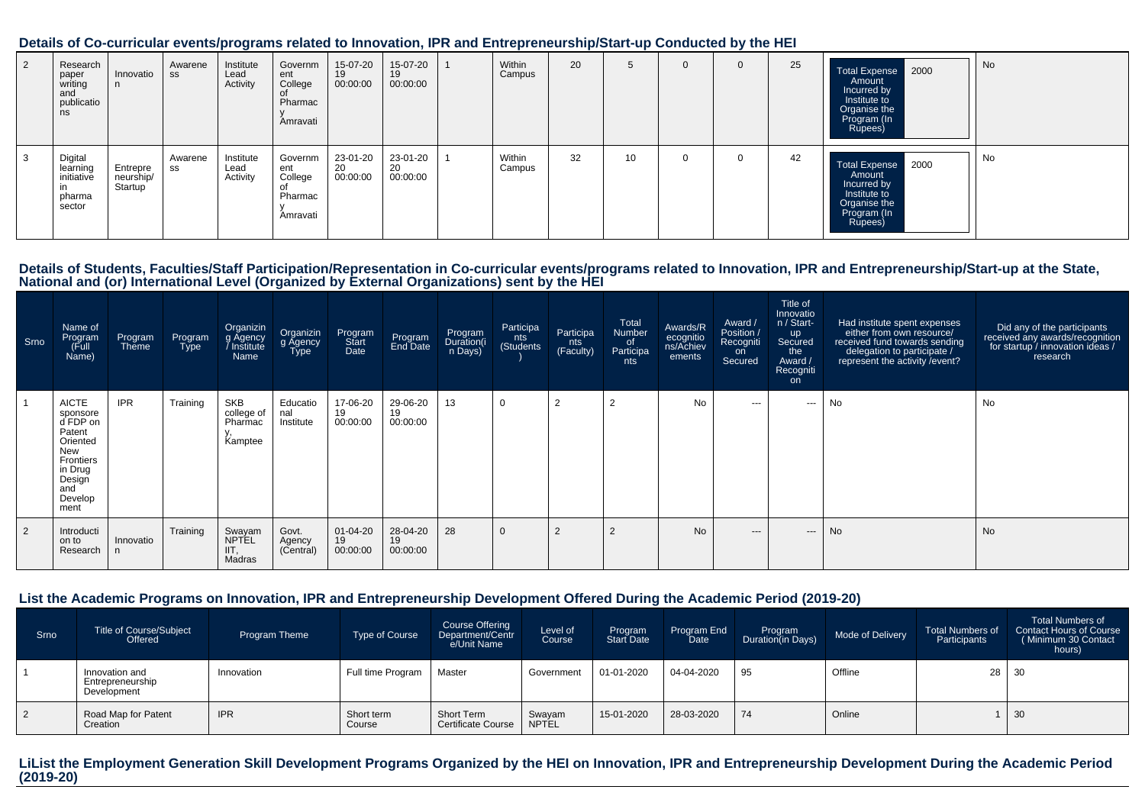#### **Details of Co-curricular events/programs related to Innovation, IPR and Entrepreneurship/Start-up Conducted by the HEI**

| 2 | Research<br>paper<br>writing<br>and<br>publicatio<br>ns | Innovatio                        | Awarene<br>SS | Institute<br>Lead<br>Activity | Governm<br>ent<br>College<br>Pharmac<br>Amravati | 15-07-20<br>19<br>00:00:00 | 15-07-20<br>19<br>00:00:00 | Within<br>Campus | 20 | G               | $\mathbf 0$ | 25 | Total Expense 2000<br>Amount<br>Incurred by<br>Institute to<br>Organise the<br>Program (In<br>Rupees) | No |
|---|---------------------------------------------------------|----------------------------------|---------------|-------------------------------|--------------------------------------------------|----------------------------|----------------------------|------------------|----|-----------------|-------------|----|-------------------------------------------------------------------------------------------------------|----|
| 3 | Digital<br>learning<br>initiative<br>pharma<br>sector   | Entrepre<br>neurship/<br>Startup | Awarene<br>SS | Institute<br>Lead<br>Activity | Governm<br>ent<br>College<br>Pharmac<br>Amravati | 23-01-20<br>20<br>00:00:00 | 23-01-20<br>20<br>00:00:00 | Within<br>Campus | 32 | 10 <sup>°</sup> | $\Omega$    | 42 | Total Expense 2000<br>Amount<br>Incurred by<br>Institute to<br>Organise the<br>Program (In<br>Rupees) | No |

# Details of Students, Faculties/Staff Participation/Representation in Co-curricular events/programs related to Innovation, IPR and Entrepreneurship/Start-up at the State,<br>National and (or) International Level (Organized by

| Srno           | Name of<br>Program<br>Full)<br>Name)                                                                                                 | Program<br>Theme | Program<br><b>Type</b> | Organizin<br>g Agency<br>Institute<br>Name     | Organizin<br>g Agency<br>Type | Program<br>Start<br>Date         | Program<br>End Date        | Program<br>Duration(i<br>n Days) | Participa<br>nts<br>(Students | Participa<br>nts<br>(Faculty) | Total<br>Number<br>of<br>Participa<br>nts | Awards/R<br>ecognitio<br>ns/Achiev<br>ements | Award /<br>Position /<br>Recogniti<br>on<br>Secured | Title of<br>Innovatio<br>n / Start-<br><b>up</b><br>Secured<br>the<br>Award /<br>Recogniti<br>on | Had institute spent expenses<br>either from own resource/<br>received fund towards sending<br>delegation to participate /<br>represent the activity / event? | Did any of the participants<br>received any awards/recognition<br>for startup / innovation ideas /<br>research |
|----------------|--------------------------------------------------------------------------------------------------------------------------------------|------------------|------------------------|------------------------------------------------|-------------------------------|----------------------------------|----------------------------|----------------------------------|-------------------------------|-------------------------------|-------------------------------------------|----------------------------------------------|-----------------------------------------------------|--------------------------------------------------------------------------------------------------|--------------------------------------------------------------------------------------------------------------------------------------------------------------|----------------------------------------------------------------------------------------------------------------|
|                | <b>AICTE</b><br>sponsore<br>d FDP on<br>Patent<br>Oriented<br><b>New</b><br>Frontiers<br>in Drug<br>Design<br>and<br>Develop<br>ment | <b>IPR</b>       | Training               | <b>SKB</b><br>college of<br>Pharmac<br>Kamptee | Educatio<br>nal<br>Institute  | 17-06-20<br>19<br>00:00:00       | 29-06-20<br>19<br>00:00:00 | 13                               | $\mathbf 0$                   | $\overline{2}$                | 2                                         | <b>No</b>                                    | $\sim$ $\sim$                                       | ---                                                                                              | No                                                                                                                                                           | No                                                                                                             |
| $\overline{2}$ | Introducti<br>on to<br>Research                                                                                                      | Innovatio        | Training               | Swayam<br>NPTEL<br>IIT,<br>Madras              | Govt.<br>Agency<br>(Central)  | $01 - 04 - 20$<br>19<br>00:00:00 | 28-04-20<br>19<br>00:00:00 | 28                               | $\Omega$                      | $\overline{2}$                | 2                                         | <b>No</b>                                    | $---$                                               | $---$                                                                                            | <b>No</b>                                                                                                                                                    | <b>No</b>                                                                                                      |

### **List the Academic Programs on Innovation, IPR and Entrepreneurship Development Offered During the Academic Period (2019-20)**

| Srno | <b>Title of Course/Subject</b><br>Offered         | Program Theme | <b>Type of Course</b> | Course Offering<br>Department/Centr<br>e/Unit Name | Level of<br>Course     | Program<br><b>Start Date</b> | Program End<br>Date | Program<br>Duration(in Days) | Mode of Delivery | <b>Total Numbers of</b><br>Participants | <b>Total Numbers of</b><br><b>Contact Hours of Course</b><br>(Minimum 30 Contact<br>hours) |
|------|---------------------------------------------------|---------------|-----------------------|----------------------------------------------------|------------------------|------------------------------|---------------------|------------------------------|------------------|-----------------------------------------|--------------------------------------------------------------------------------------------|
|      | Innovation and<br>Entrepreneurship<br>Development | Innovation    | Full time Program     | Master                                             | Government             | 01-01-2020                   | 04-04-2020          | 95                           | Offline          | 28                                      | -30                                                                                        |
|      | Road Map for Patent<br>Creation                   | <b>IPR</b>    | Short term<br>Course  | <b>Short Term</b><br><b>Certificate Course</b>     | Swayam<br><b>NPTEL</b> | 15-01-2020                   | 28-03-2020          | 74                           | Online           |                                         | 30                                                                                         |

**LiList the Employment Generation Skill Development Programs Organized by the HEI on Innovation, IPR and Entrepreneurship Development During the Academic Period(2019-20)**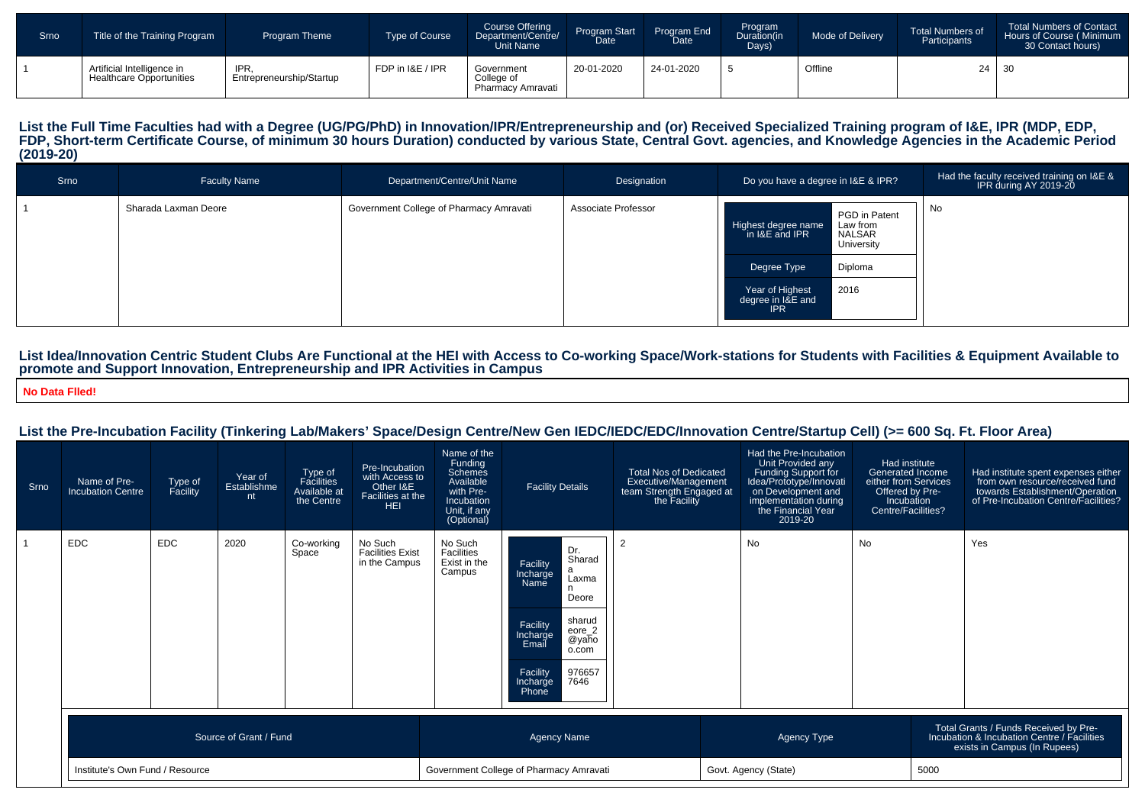| Srno | Title of the Training Program                                 | <b>Program Theme</b>             | Type of Course   | <b>Course Offering</b><br>Department/Centre/<br>Unit Name | Program Start<br>Date | Program End<br>Date | Program<br>Duration(in<br>Days) | Mode of Delivery | <b>Total Numbers of</b><br>Participants | <b>Total Numbers of Contact</b><br>Hours of Course (Minimum<br>30 Contact hours) |
|------|---------------------------------------------------------------|----------------------------------|------------------|-----------------------------------------------------------|-----------------------|---------------------|---------------------------------|------------------|-----------------------------------------|----------------------------------------------------------------------------------|
|      | Artificial Intelligence in<br><b>Healthcare Opportunities</b> | IPR.<br>Entrepreneurship/Startup | FDP in I&E / IPR | Government<br>College of<br>Pharmacy Amravati             | 20-01-2020            | 24-01-2020          |                                 | Offline          | $24 \mid 30$                            |                                                                                  |

# List the Full Time Faculties had with a Degree (UG/PG/PhD) in Innovation/IPR/Entrepreneurship and (or) Received Specialized Training program of I&E, IPR (MDP, EDP,<br>FDP, Short-term Certificate Course, of minimum 30 hours Du **(2019-20)**

| Srno | <b>Faculty Name</b>  | Department/Centre/Unit Name             | Designation         | Do you have a degree in I&E & IPR?                                                                                                                                                 | Had the faculty received training on I&E &<br>IPR during AY 2019-20 |
|------|----------------------|-----------------------------------------|---------------------|------------------------------------------------------------------------------------------------------------------------------------------------------------------------------------|---------------------------------------------------------------------|
|      | Sharada Laxman Deore | Government College of Pharmacy Amravati | Associate Professor | PGD in Patent<br>Highest degree name<br>Law from<br>in I&E and IPR<br>NALSAR<br>University<br>Diploma<br>Degree Type<br>2016<br>Year of Highest<br>degree in I&E and<br><b>IPR</b> | No                                                                  |

# List Idea/Innovation Centric Student Clubs Are Functional at the HEI with Access to Co-working Space/Work-stations for Students with Facilities & Equipment Available to<br>promote and Support Innovation, Entrepreneurship and

**No Data Flled!**

### **List the Pre-Incubation Facility (Tinkering Lab/Makers' Space/Design Centre/New Gen IEDC/IEDC/EDC/Innovation Centre/Startup Cell) (>= 600 Sq. Ft. Floor Area)**

| Srno | Name of Pre-<br><b>Incubation Centre</b> | Type of<br>Facility | Year of<br>Establishme<br>nt | Type of<br>Facilities<br>Available at<br>the Centre | Pre-Incubation<br>with Access to<br>Other I&E<br>Facilities at the<br><b>HEI</b> | Name of the<br><b>Funding</b><br>Schemes<br>Available<br>with Pre-<br>Incubation<br>Unit, if any<br>(Optional) | <b>Facility Details</b>                                                                                                                                                                              | <b>Total Nos of Dedicated</b><br>Executive/Management<br>team Strength Engaged at<br>the Facility | Had the Pre-Incubation<br>Unit Provided any<br>Funding Support for<br>Idea/Prototype/Innovati<br>on Development and<br>implementation during<br>the Financial Year<br>2019-20 | Had institute<br>Generated Income<br>either from Services<br>Offered by Pre-<br>Incubation<br>Centre/Facilities? |      | Had institute spent expenses either<br>from own resource/received fund<br>towards Establishment/Operation<br>of Pre-Incubation Centre/Facilities? |
|------|------------------------------------------|---------------------|------------------------------|-----------------------------------------------------|----------------------------------------------------------------------------------|----------------------------------------------------------------------------------------------------------------|------------------------------------------------------------------------------------------------------------------------------------------------------------------------------------------------------|---------------------------------------------------------------------------------------------------|-------------------------------------------------------------------------------------------------------------------------------------------------------------------------------|------------------------------------------------------------------------------------------------------------------|------|---------------------------------------------------------------------------------------------------------------------------------------------------|
|      | <b>EDC</b>                               | <b>EDC</b>          | 2020                         | Co-working<br>Space                                 | No Such<br><b>Facilities Exist</b><br>in the Campus                              | No Such<br>Facilities<br>Exist in the<br>Campus                                                                | Dr.<br>Sharad<br>Facility<br>a<br>Incharge<br>Name<br>Laxma<br>Deore<br>sharud<br>Facility<br>Incharge<br>Email<br>$e$ ore $_2$<br>@yaho<br>o.com<br>Facility<br>976657<br>7646<br>Incharge<br>Phone | $\overline{2}$                                                                                    | No                                                                                                                                                                            | <b>No</b>                                                                                                        |      | Yes                                                                                                                                               |
|      |                                          |                     | Source of Grant / Fund       |                                                     |                                                                                  |                                                                                                                | <b>Agency Name</b>                                                                                                                                                                                   |                                                                                                   | Agency Type                                                                                                                                                                   |                                                                                                                  |      | Total Grants / Funds Received by Pre-<br>Incubation & Incubation Centre / Facilities<br>exists in Campus (In Rupees)                              |
|      | Institute's Own Fund / Resource          |                     |                              |                                                     | Government College of Pharmacy Amravati                                          |                                                                                                                |                                                                                                                                                                                                      | Govt. Agency (State)                                                                              |                                                                                                                                                                               |                                                                                                                  | 5000 |                                                                                                                                                   |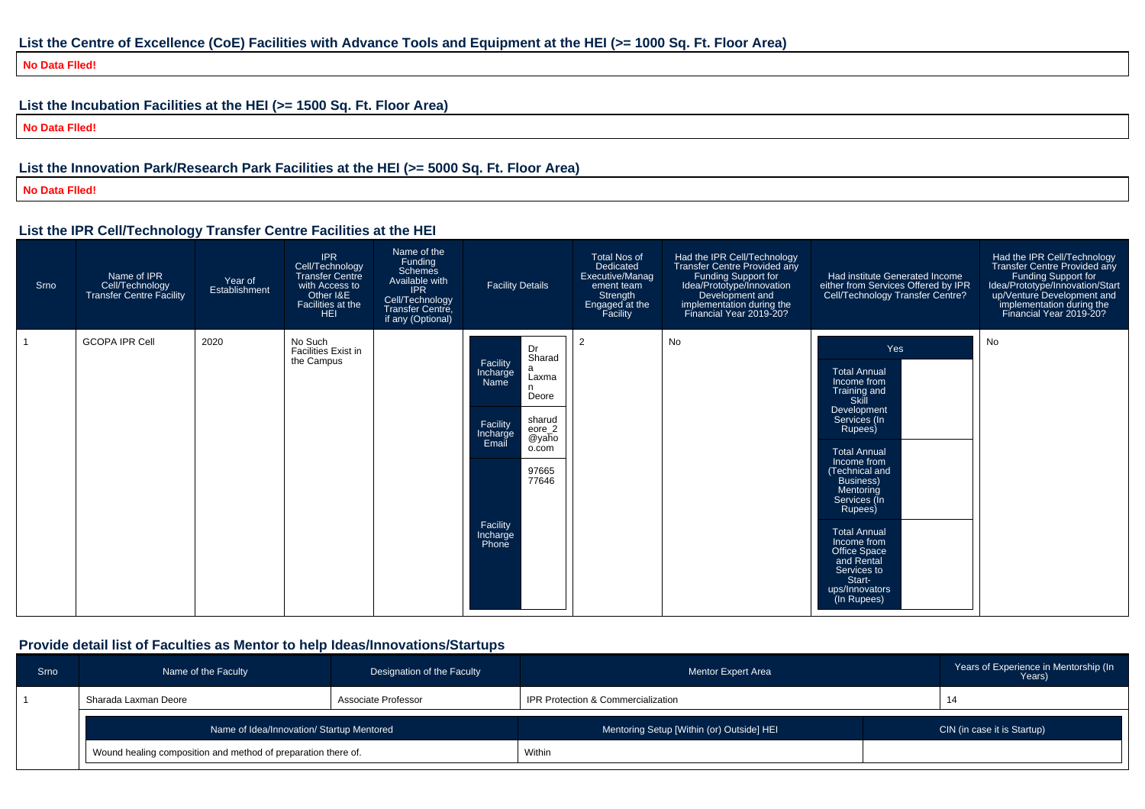# **List the Centre of Excellence (CoE) Facilities with Advance Tools and Equipment at the HEI (>= 1000 Sq. Ft. Floor Area)**

**No Data Flled!**

# **List the Incubation Facilities at the HEI (>= 1500 Sq. Ft. Floor Area)**

**No Data Flled!**

# **List the Innovation Park/Research Park Facilities at the HEI (>= 5000 Sq. Ft. Floor Area)**

**No Data Flled!**

### **List the IPR Cell/Technology Transfer Centre Facilities at the HEI**

| Srno | Name of IPR<br>Cell/Technology<br>Transfer Centre Facility | Year of<br>Establishment | <b>IPR</b><br>Cell/Technology<br><b>Transfer Centre</b><br>with Access to<br>Other I&E<br>Facilities at the<br><b>HEI</b> | Name of the<br>Funding<br><b>Schemes</b><br>Available with<br><b>IPR</b><br>Cell/Technology<br>Transfer Centre,<br>if any (Optional) | <b>Facility Details</b>                                                                                                                                                                         | <b>Total Nos of</b><br>Dedicated<br>Executive/Manag<br>ement team<br>Strength<br>Engaged at the<br>Facility | Had the IPR Cell/Technology<br>Transfer Centre Provided any<br>Funding Support for<br>Idea/Prototype/Innovation<br>Development and<br>implementation during the<br>Financial Year 2019-20? | Had institute Generated Income<br>either from Services Offered by IPR<br>Cell/Technology Transfer Centre?                                                                                                                                                                                                                                                       | Had the IPR Cell/Technology<br>Transfer Centre Provided any<br>Funding Support for<br>Idea/Prototype/Innovation/Start<br>up/Venture Development and<br>implementation during the<br>Financial Year 2019-20? |
|------|------------------------------------------------------------|--------------------------|---------------------------------------------------------------------------------------------------------------------------|--------------------------------------------------------------------------------------------------------------------------------------|-------------------------------------------------------------------------------------------------------------------------------------------------------------------------------------------------|-------------------------------------------------------------------------------------------------------------|--------------------------------------------------------------------------------------------------------------------------------------------------------------------------------------------|-----------------------------------------------------------------------------------------------------------------------------------------------------------------------------------------------------------------------------------------------------------------------------------------------------------------------------------------------------------------|-------------------------------------------------------------------------------------------------------------------------------------------------------------------------------------------------------------|
|      | <b>GCOPA IPR Cell</b>                                      | 2020                     | No Such<br>Facilities Exist in<br>the Campus                                                                              |                                                                                                                                      | Dr<br>Sharad<br>Facility<br>a<br>Incharge<br>Laxma<br>Name<br>Deore<br>sharud<br>Facility<br>$eore_2$<br>Incharge<br>Email<br>@yaho<br>o.com<br>97665<br>77646<br>Facility<br>Incharge<br>Phone | 2                                                                                                           | No                                                                                                                                                                                         | Yes<br><b>Total Annual</b><br>Income from<br>Training and<br>Skill<br>Development<br>Services (In<br>Rupees)<br><b>Total Annual</b><br>Income from<br>(Technical and<br><b>Business</b> )<br>Mentoring<br>Services (In<br>Rupees)<br><b>Total Annual</b><br>Income from<br>Office Space<br>and Rental<br>Services to<br>Start-<br>ups/Innovators<br>(In Rupees) | No                                                                                                                                                                                                          |

# **Provide detail list of Faculties as Mentor to help Ideas/Innovations/Startups**

| <b>Srno</b> | Name of the Faculty                                           | Designation of the Faculty | <b>Mentor Expert Area</b>                 | Years of Experience in Mentorship (In<br>Years) |
|-------------|---------------------------------------------------------------|----------------------------|-------------------------------------------|-------------------------------------------------|
|             | Sharada Laxman Deore                                          | Associate Professor        | IPR Protection & Commercialization        | 14                                              |
|             | Name of Idea/Innovation/ Startup Mentored                     |                            | Mentoring Setup [Within (or) Outside] HEI | CIN (in case it is Startup)                     |
|             | Wound healing composition and method of preparation there of. |                            | Within                                    |                                                 |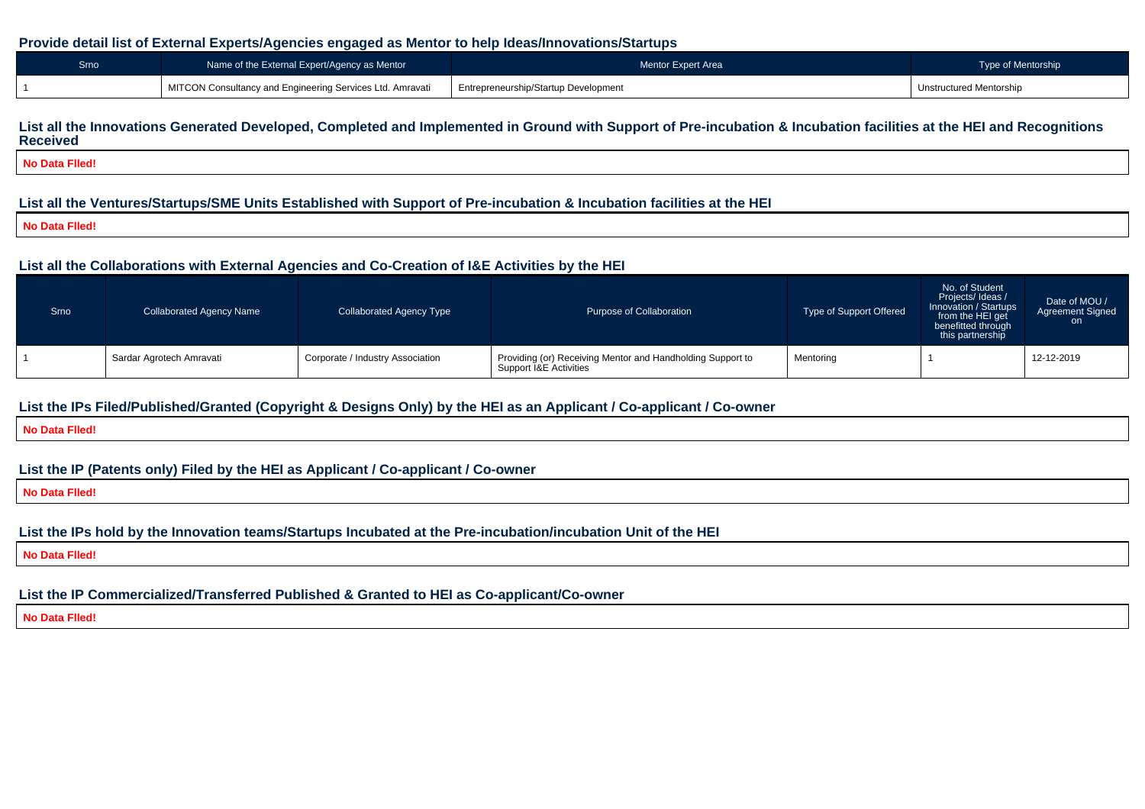#### **Provide detail list of External Experts/Agencies engaged as Mentor to help Ideas/Innovations/Startups**

| Srno | Name of the External Expert/Agency as Mentor              | Mentor Expert Area                   | Type of Mentorship      |
|------|-----------------------------------------------------------|--------------------------------------|-------------------------|
|      | MITCON Consultancy and Engineering Services Ltd. Amravati | Entrepreneurship/Startup Development | Unstructured Mentorship |

# **List all the Innovations Generated Developed, Completed and Implemented in Ground with Support of Pre-incubation & Incubation facilities at the HEI and RecognitionsReceived**

**No Data Flled!**

## **List all the Ventures/Startups/SME Units Established with Support of Pre-incubation & Incubation facilities at the HEI**

**No Data Flled!**

#### **List all the Collaborations with External Agencies and Co-Creation of I&E Activities by the HEI**

| Srno | <b>Collaborated Agency Name</b> | <b>Collaborated Agency Type</b>  | Purpose of Collaboration                                                                        | Type of Support Offered | No. of Student<br>Projects/Ideas/<br>Innovation / Startups<br>from the HEI get<br>benefitted through<br>this partnership | Date of MOU /<br><b>Agreement Signed</b><br>on. |
|------|---------------------------------|----------------------------------|-------------------------------------------------------------------------------------------------|-------------------------|--------------------------------------------------------------------------------------------------------------------------|-------------------------------------------------|
|      | Sardar Agrotech Amravati        | Corporate / Industry Association | Providing (or) Receiving Mentor and Handholding Support to<br>Support <i>I&amp;E</i> Activities | Mentoring               |                                                                                                                          | 12-12-2019                                      |

## **List the IPs Filed/Published/Granted (Copyright & Designs Only) by the HEI as an Applicant / Co-applicant / Co-owner**

**No Data Flled!**

# **List the IP (Patents only) Filed by the HEI as Applicant / Co-applicant / Co-owner**

**No Data Flled!**

# **List the IPs hold by the Innovation teams/Startups Incubated at the Pre-incubation/incubation Unit of the HEI**

**No Data Flled!**

# **List the IP Commercialized/Transferred Published & Granted to HEI as Co-applicant/Co-owner**

**No Data Flled!**